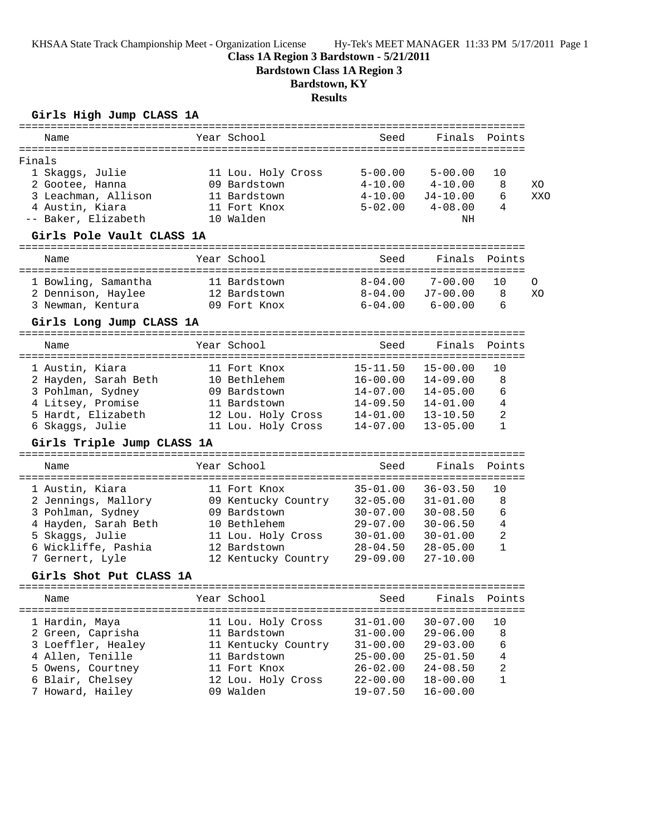KHSAA State Track Championship Meet - Organization License Hy-Tek's MEET MANAGER 11:33 PM 5/17/2011 Page 1

### **Class 1A Region 3 Bardstown - 5/21/2011**

**Bardstown Class 1A Region 3**

## **Bardstown, KY**

**Results**

### **Girls High Jump CLASS 1A**

| ============                                                                                                                                             | ============                                                                                                                     | ================================                                                                             |                                                                                                              |                                        |            |
|----------------------------------------------------------------------------------------------------------------------------------------------------------|----------------------------------------------------------------------------------------------------------------------------------|--------------------------------------------------------------------------------------------------------------|--------------------------------------------------------------------------------------------------------------|----------------------------------------|------------|
| Name                                                                                                                                                     | Year School                                                                                                                      | Seed                                                                                                         | Finals                                                                                                       | Points                                 |            |
| Finals                                                                                                                                                   |                                                                                                                                  |                                                                                                              |                                                                                                              |                                        |            |
| 1 Skaggs, Julie<br>2 Gootee, Hanna<br>3 Leachman, Allison                                                                                                | 11 Lou. Holy Cross<br>09 Bardstown<br>11 Bardstown                                                                               | $5 - 00.00$<br>$4 - 10.00$<br>$4 - 10.00$                                                                    | $5 - 00.00$<br>$4 - 10.00$<br>$J4 - 10.00$                                                                   | 10<br>8<br>6                           | XO.<br>XXO |
| 4 Austin, Kiara<br>-- Baker, Elizabeth<br>Girls Pole Vault CLASS 1A                                                                                      | 11 Fort Knox<br>10 Walden                                                                                                        | $5 - 02.00$                                                                                                  | $4 - 08.00$<br>ΝH                                                                                            | 4                                      |            |
| Name                                                                                                                                                     | Year School                                                                                                                      | Seed                                                                                                         | Finals                                                                                                       | Points                                 |            |
| 1 Bowling, Samantha<br>2 Dennison, Haylee<br>3 Newman, Kentura<br>Girls Long Jump CLASS 1A                                                               | 11 Bardstown<br>12 Bardstown<br>09 Fort Knox                                                                                     | $8 - 04.00$<br>$8 - 04.00$<br>$6 - 04.00$                                                                    | $7 - 00.00$<br>$J7 - 00.00$<br>$6 - 00.00$                                                                   | 10<br>8<br>6                           | 0<br>XO    |
| Name                                                                                                                                                     | Year School                                                                                                                      | Seed                                                                                                         | Finals                                                                                                       | Points                                 |            |
| 1 Austin, Kiara<br>2 Hayden, Sarah Beth<br>3 Pohlman, Sydney<br>4 Litsey, Promise<br>5 Hardt, Elizabeth<br>6 Skaggs, Julie<br>Girls Triple Jump CLASS 1A | 11 Fort Knox<br>10 Bethlehem<br>09 Bardstown<br>11 Bardstown<br>12 Lou. Holy Cross<br>11 Lou. Holy Cross                         | $15 - 11.50$<br>$16 - 00.00$<br>$14 - 07.00$<br>$14 - 09.50$<br>$14 - 01.00$<br>$14 - 07.00$                 | $15 - 00.00$<br>$14 - 09.00$<br>$14 - 05.00$<br>$14 - 01.00$<br>$13 - 10.50$<br>$13 - 05.00$                 | 10<br>8<br>6<br>4<br>2<br>$\mathbf{1}$ |            |
| Name                                                                                                                                                     | Year School                                                                                                                      | Seed                                                                                                         | Finals                                                                                                       | Points                                 |            |
| 1 Austin, Kiara<br>2 Jennings, Mallory<br>3 Pohlman, Sydney<br>4 Hayden, Sarah Beth<br>5 Skaggs, Julie<br>6 Wickliffe, Pashia<br>7 Gernert, Lyle         | 11 Fort Knox<br>09 Kentucky Country<br>09 Bardstown<br>10 Bethlehem<br>11 Lou. Holy Cross<br>12 Bardstown<br>12 Kentucky Country | $35 - 01.00$<br>$32 - 05.00$<br>$30 - 07.00$<br>$29 - 07.00$<br>$30 - 01.00$<br>$28 - 04.50$<br>$29 - 09.00$ | $36 - 03.50$<br>$31 - 01.00$<br>$30 - 08.50$<br>$30 - 06.50$<br>$30 - 01.00$<br>$28 - 05.00$<br>$27 - 10.00$ | 10<br>8<br>6<br>4<br>2<br>$\mathbf{1}$ |            |
| Girls Shot Put CLASS 1A                                                                                                                                  |                                                                                                                                  |                                                                                                              |                                                                                                              |                                        |            |
| ====================================                                                                                                                     |                                                                                                                                  |                                                                                                              |                                                                                                              |                                        |            |
| Name                                                                                                                                                     | Year School                                                                                                                      | Seed                                                                                                         | Finals                                                                                                       | Points<br>===========                  |            |
| 1 Hardin, Maya<br>2 Green, Caprisha<br>3 Loeffler, Healey<br>4 Allen, Tenille<br>5 Owens, Courtney<br>6 Blair, Chelsey<br>7 Howard, Hailey               | 11 Lou. Holy Cross<br>11 Bardstown<br>11 Kentucky Country<br>11 Bardstown<br>11 Fort Knox<br>12 Lou. Holy Cross<br>09 Walden     | $31 - 01.00$<br>$31 - 00.00$<br>$31 - 00.00$<br>$25 - 00.00$<br>$26 - 02.00$<br>$22 - 00.00$<br>$19 - 07.50$ | $30 - 07.00$<br>$29 - 06.00$<br>$29 - 03.00$<br>$25 - 01.50$<br>$24 - 08.50$<br>$18 - 00.00$<br>$16 - 00.00$ | 10<br>8<br>6<br>4<br>2<br>1            |            |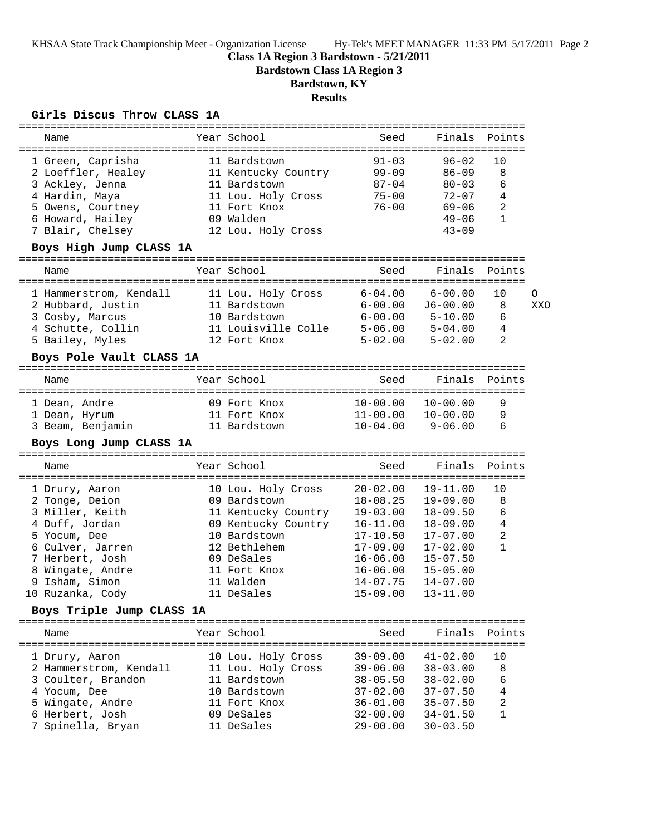KHSAA State Track Championship Meet - Organization License Hy-Tek's MEET MANAGER 11:33 PM 5/17/2011 Page 2

### **Class 1A Region 3 Bardstown - 5/21/2011**

**Bardstown Class 1A Region 3**

## **Bardstown, KY**

**Results**

#### **Girls Discus Throw CLASS 1A**

| Name                                    |  | Year School                         | Seed               |                        | Finals Points |     |  |
|-----------------------------------------|--|-------------------------------------|--------------------|------------------------|---------------|-----|--|
| 1 Green, Caprisha<br>2 Loeffler, Healey |  | 11 Bardstown<br>11 Kentucky Country | $91 - 03$<br>99-09 | $96 - 02$<br>$86 - 09$ | 10<br>8       |     |  |
| 3 Ackley, Jenna                         |  | 11 Bardstown                        | $87 - 04$          | $80 - 03$              | 6             |     |  |
| 4 Hardin, Maya                          |  | 11 Lou. Holy Cross                  | $75 - 00$          | 72-07                  | 4             |     |  |
| 5 Owens, Courtney                       |  | 11 Fort Knox                        | 76-00              | 69-06                  | 2             |     |  |
| 6 Howard, Hailey                        |  | 09 Walden                           |                    | $49 - 06$              | $\mathbf{1}$  |     |  |
| 7 Blair, Chelsey                        |  | 12 Lou. Holy Cross                  |                    | $43 - 09$              |               |     |  |
| Boys High Jump CLASS 1A                 |  |                                     |                    |                        |               |     |  |
| Name                                    |  | Year School                         | Seed               | Finals                 | Points        |     |  |
| 1 Hammerstrom, Kendall                  |  | 11 Lou. Holy Cross                  | 6-04.00            | $6 - 00.00$            | 10            | O   |  |
| 2 Hubbard, Justin                       |  | 11 Bardstown                        | $6 - 00.00$        | $J6 - 00.00$           | 8             | XXO |  |
| 3 Cosby, Marcus                         |  | 10 Bardstown                        | $6 - 00.00$        | $5 - 10.00$            | 6             |     |  |
| 4 Schutte, Collin                       |  | 11 Louisville Colle 5-06.00         |                    | $5 - 04.00$            | 4             |     |  |
| 5 Bailey, Myles                         |  | 12 Fort Knox                        | $5 - 02.00$        | $5 - 02.00$            | 2             |     |  |
| Boys Pole Vault CLASS 1A                |  |                                     |                    |                        |               |     |  |
| Name                                    |  | Year School                         | Seed               | Finals                 | Points        |     |  |
| 1 Dean, Andre                           |  | 09 Fort Knox                        | $10 - 00.00$       | $10 - 00.00$           | 9             |     |  |
| 1 Dean, Hyrum                           |  | 11 Fort Knox                        | $11 - 00.00$       | $10 - 00.00$           | 9             |     |  |
| 3 Beam, Benjamin                        |  | 11 Bardstown                        | $10 - 04.00$       | $9 - 06.00$            | 6             |     |  |
| Boys Long Jump CLASS 1A                 |  |                                     |                    |                        |               |     |  |
| Name                                    |  | Year School                         | Seed               | Finals                 | Points        |     |  |
| 1 Drury, Aaron                          |  | 10 Lou. Holy Cross                  | $20 - 02.00$       | 19-11.00               | 10            |     |  |
| 2 Tonge, Deion                          |  | 09 Bardstown                        | $18 - 08.25$       | $19 - 09.00$           | 8             |     |  |
| 3 Miller, Keith                         |  | 11 Kentucky Country                 | 19-03.00           | $18 - 09.50$           | 6             |     |  |
| 4 Duff, Jordan                          |  | 09 Kentucky Country 16-11.00        |                    | 18-09.00               | 4             |     |  |
| 5 Yocum, Dee                            |  | 10 Bardstown                        | $17 - 10.50$       | $17 - 07.00$           | 2             |     |  |
| 6 Culver, Jarren                        |  | 12 Bethlehem                        | 17-09.00           | $17 - 02.00$           | $\mathbf 1$   |     |  |
| 7 Herbert, Josh                         |  | 09 DeSales                          | $16 - 06.00$       | $15 - 07.50$           |               |     |  |
| 8 Wingate, Andre                        |  | 11 Fort Knox                        | $16 - 06.00$       | $15 - 05.00$           |               |     |  |
| 9 Isham, Simon                          |  | 11 Walden                           | $14 - 07.75$       | $14 - 07.00$           |               |     |  |
| 10 Ruzanka, Cody                        |  | 11 DeSales                          | $15 - 09.00$       | $13 - 11.00$           |               |     |  |
| Boys Triple Jump CLASS 1A               |  |                                     |                    |                        |               |     |  |
| Name                                    |  | Year School                         | Seed               | Finals                 | Points        |     |  |
| 1 Drury, Aaron                          |  | 10 Lou. Holy Cross                  | $39 - 09.00$       | $41 - 02.00$           | 10            |     |  |
| 2 Hammerstrom, Kendall                  |  | 11 Lou. Holy Cross                  | $39 - 06.00$       | $38 - 03.00$           | 8             |     |  |
| 3 Coulter, Brandon                      |  | 11 Bardstown                        | $38 - 05.50$       | $38 - 02.00$           | 6             |     |  |
| 4 Yocum, Dee                            |  | 10 Bardstown                        | $37 - 02.00$       | $37 - 07.50$           | 4             |     |  |
| 5 Wingate, Andre                        |  | 11 Fort Knox                        | $36 - 01.00$       | $35 - 07.50$           | 2             |     |  |
| 6 Herbert, Josh                         |  | 09 DeSales                          | $32 - 00.00$       | $34 - 01.50$           | 1             |     |  |
| 7 Spinella, Bryan                       |  | 11 DeSales                          | $29 - 00.00$       | $30 - 03.50$           |               |     |  |